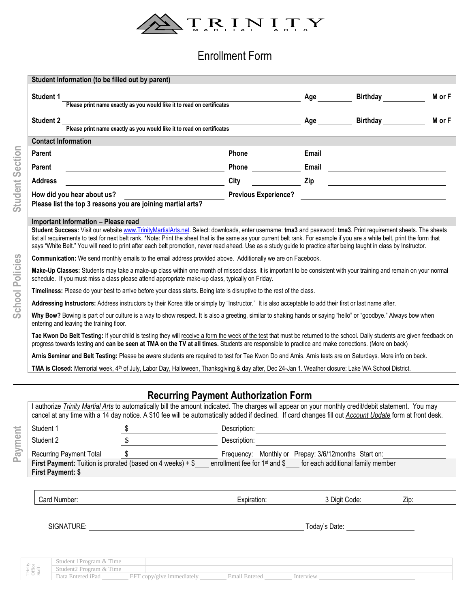

## Enrollment Form

|                                                                                                                                                                                                                                                                                                                                                                                       |                                                                     | Please print name exactly as you would like it to read on certificates                                                                                                                                                                                                                                                                                                                                                                                                                                                 | Age                                                                                                                                                                                                                                                                                                                                                                  | <b>Birthday Example 19</b>                                                                                                                                                                                                           | M or F |  |  |
|---------------------------------------------------------------------------------------------------------------------------------------------------------------------------------------------------------------------------------------------------------------------------------------------------------------------------------------------------------------------------------------|---------------------------------------------------------------------|------------------------------------------------------------------------------------------------------------------------------------------------------------------------------------------------------------------------------------------------------------------------------------------------------------------------------------------------------------------------------------------------------------------------------------------------------------------------------------------------------------------------|----------------------------------------------------------------------------------------------------------------------------------------------------------------------------------------------------------------------------------------------------------------------------------------------------------------------------------------------------------------------|--------------------------------------------------------------------------------------------------------------------------------------------------------------------------------------------------------------------------------------|--------|--|--|
|                                                                                                                                                                                                                                                                                                                                                                                       |                                                                     |                                                                                                                                                                                                                                                                                                                                                                                                                                                                                                                        |                                                                                                                                                                                                                                                                                                                                                                      | <b>Birthday</b>                                                                                                                                                                                                                      |        |  |  |
| <b>Student 2</b>                                                                                                                                                                                                                                                                                                                                                                      |                                                                     | Please print name exactly as you would like it to read on certificates                                                                                                                                                                                                                                                                                                                                                                                                                                                 | Age                                                                                                                                                                                                                                                                                                                                                                  |                                                                                                                                                                                                                                      | M or F |  |  |
| <b>Contact Information</b>                                                                                                                                                                                                                                                                                                                                                            |                                                                     |                                                                                                                                                                                                                                                                                                                                                                                                                                                                                                                        |                                                                                                                                                                                                                                                                                                                                                                      |                                                                                                                                                                                                                                      |        |  |  |
| <b>Parent</b>                                                                                                                                                                                                                                                                                                                                                                         |                                                                     |                                                                                                                                                                                                                                                                                                                                                                                                                                                                                                                        |                                                                                                                                                                                                                                                                                                                                                                      |                                                                                                                                                                                                                                      |        |  |  |
| <u> Andreas Andreas Andreas Andreas Andreas Andreas Andreas Andreas Andreas Andreas Andreas Andreas Andreas Andr</u><br><u> 1989 - Johann Barn, mars ann an t-Amhair an t-Amhair an t-Amhair an t-Amhair an t-Amhair an t-Amhair an t-Amh</u>                                                                                                                                         |                                                                     | Phone                                                                                                                                                                                                                                                                                                                                                                                                                                                                                                                  |                                                                                                                                                                                                                                                                                                                                                                      | Email <u>and the contract of the contract of the contract of the contract of the contract of the contract of the contract of the contract of the contract of the contract of the contract of the contract of the contract of the</u> |        |  |  |
| Parent<br><b>Address</b>                                                                                                                                                                                                                                                                                                                                                              | <u> 1980 - Johann Barbara, martxa alemaniar a</u>                   | <b>City</b>                                                                                                                                                                                                                                                                                                                                                                                                                                                                                                            | $\frac{2}{\sqrt{2}}$ $\frac{2}{\sqrt{2}}$ $\frac{2}{\sqrt{2}}$ $\frac{2}{\sqrt{2}}$ $\frac{2}{\sqrt{2}}$ $\frac{2}{\sqrt{2}}$ $\frac{2}{\sqrt{2}}$ $\frac{2}{\sqrt{2}}$ $\frac{2}{\sqrt{2}}$ $\frac{2}{\sqrt{2}}$ $\frac{2}{\sqrt{2}}$ $\frac{2}{\sqrt{2}}$ $\frac{2}{\sqrt{2}}$ $\frac{2}{\sqrt{2}}$ $\frac{2}{\sqrt{2}}$ $\frac{2}{\sqrt{2}}$ $\frac{2}{\sqrt{2}}$ |                                                                                                                                                                                                                                      |        |  |  |
|                                                                                                                                                                                                                                                                                                                                                                                       | Please list the top 3 reasons you are joining martial arts?         |                                                                                                                                                                                                                                                                                                                                                                                                                                                                                                                        |                                                                                                                                                                                                                                                                                                                                                                      |                                                                                                                                                                                                                                      |        |  |  |
| Important Information - Please read                                                                                                                                                                                                                                                                                                                                                   |                                                                     | Student Success: Visit our website www.TrinityMartialArts.net. Select: downloads, enter username: tma3 and password: tma3. Print requirement sheets. The sheets<br>list all requirements to test for next belt rank. *Note: Print the sheet that is the same as your current belt rank. For example if you are a white belt, print the form that<br>says "White Belt." You will need to print after each belt promotion, never read ahead. Use as a study guide to practice after being taught in class by Instructor. |                                                                                                                                                                                                                                                                                                                                                                      |                                                                                                                                                                                                                                      |        |  |  |
| Communication: We send monthly emails to the email address provided above. Additionally we are on Facebook.<br>Make-Up Classes: Students may take a make-up class within one month of missed class. It is important to be consistent with your training and remain on your normal<br>schedule. If you must miss a class please attend appropriate make-up class, typically on Friday. |                                                                     |                                                                                                                                                                                                                                                                                                                                                                                                                                                                                                                        |                                                                                                                                                                                                                                                                                                                                                                      |                                                                                                                                                                                                                                      |        |  |  |
|                                                                                                                                                                                                                                                                                                                                                                                       |                                                                     |                                                                                                                                                                                                                                                                                                                                                                                                                                                                                                                        |                                                                                                                                                                                                                                                                                                                                                                      |                                                                                                                                                                                                                                      |        |  |  |
| Timeliness: Please do your best to arrive before your class starts. Being late is disruptive to the rest of the class.<br>Addressing Instructors: Address instructors by their Korea title or simply by "Instructor." It is also acceptable to add their first or last name after.                                                                                                    |                                                                     |                                                                                                                                                                                                                                                                                                                                                                                                                                                                                                                        |                                                                                                                                                                                                                                                                                                                                                                      |                                                                                                                                                                                                                                      |        |  |  |
| Why Bow? Bowing is part of our culture is a way to show respect. It is also a greeting, similar to shaking hands or saying "hello" or "goodbye." Always bow when<br>entering and leaving the training floor.                                                                                                                                                                          |                                                                     |                                                                                                                                                                                                                                                                                                                                                                                                                                                                                                                        |                                                                                                                                                                                                                                                                                                                                                                      |                                                                                                                                                                                                                                      |        |  |  |
|                                                                                                                                                                                                                                                                                                                                                                                       |                                                                     |                                                                                                                                                                                                                                                                                                                                                                                                                                                                                                                        |                                                                                                                                                                                                                                                                                                                                                                      |                                                                                                                                                                                                                                      |        |  |  |
|                                                                                                                                                                                                                                                                                                                                                                                       |                                                                     | Tae Kwon Do Belt Testing: If your child is testing they will receive a form the week of the test that must be returned to the school. Daily students are given feedback on<br>progress towards testing and can be seen at TMA on the TV at all times. Students are responsible to practice and make corrections. (More on back)                                                                                                                                                                                        |                                                                                                                                                                                                                                                                                                                                                                      |                                                                                                                                                                                                                                      |        |  |  |
|                                                                                                                                                                                                                                                                                                                                                                                       |                                                                     | Arnis Seminar and Belt Testing: Please be aware students are required to test for Tae Kwon Do and Arnis. Arnis tests are on Saturdays. More info on back.                                                                                                                                                                                                                                                                                                                                                              |                                                                                                                                                                                                                                                                                                                                                                      |                                                                                                                                                                                                                                      |        |  |  |
|                                                                                                                                                                                                                                                                                                                                                                                       |                                                                     | TMA is Closed: Memorial week, 4 <sup>th</sup> of July, Labor Day, Halloween, Thanksgiving & day after, Dec 24-Jan 1. Weather closure: Lake WA School District.                                                                                                                                                                                                                                                                                                                                                         |                                                                                                                                                                                                                                                                                                                                                                      |                                                                                                                                                                                                                                      |        |  |  |
|                                                                                                                                                                                                                                                                                                                                                                                       |                                                                     | <b>Recurring Payment Authorization Form</b><br>I authorize Trinity Martial Arts to automatically bill the amount indicated. The charges will appear on your monthly credit/debit statement. You may<br>cancel at any time with a 14 day notice. A \$10 fee will be automatically added if declined. If card changes fill out Account Update form at front desk.                                                                                                                                                        |                                                                                                                                                                                                                                                                                                                                                                      |                                                                                                                                                                                                                                      |        |  |  |
| Student 1                                                                                                                                                                                                                                                                                                                                                                             | \$                                                                  |                                                                                                                                                                                                                                                                                                                                                                                                                                                                                                                        |                                                                                                                                                                                                                                                                                                                                                                      |                                                                                                                                                                                                                                      |        |  |  |
| Student 2                                                                                                                                                                                                                                                                                                                                                                             | \$                                                                  | Description:                                                                                                                                                                                                                                                                                                                                                                                                                                                                                                           |                                                                                                                                                                                                                                                                                                                                                                      |                                                                                                                                                                                                                                      |        |  |  |
| <b>Recurring Payment Total</b>                                                                                                                                                                                                                                                                                                                                                        | \$                                                                  |                                                                                                                                                                                                                                                                                                                                                                                                                                                                                                                        | Frequency: Monthly or Prepay: 3/6/12months Start on:                                                                                                                                                                                                                                                                                                                 |                                                                                                                                                                                                                                      |        |  |  |
| First Payment: \$                                                                                                                                                                                                                                                                                                                                                                     | <b>First Payment:</b> Tuition is prorated (based on 4 weeks) $+$ \$ | enrollment fee for 1 <sup>st</sup> and \$____ for each additional family member                                                                                                                                                                                                                                                                                                                                                                                                                                        |                                                                                                                                                                                                                                                                                                                                                                      |                                                                                                                                                                                                                                      |        |  |  |
| Card Number:                                                                                                                                                                                                                                                                                                                                                                          |                                                                     | Expiration:                                                                                                                                                                                                                                                                                                                                                                                                                                                                                                            |                                                                                                                                                                                                                                                                                                                                                                      | 3 Digit Code:                                                                                                                                                                                                                        | Zip:   |  |  |
|                                                                                                                                                                                                                                                                                                                                                                                       |                                                                     |                                                                                                                                                                                                                                                                                                                                                                                                                                                                                                                        |                                                                                                                                                                                                                                                                                                                                                                      | Today's Date: National Contract of Today's Date:                                                                                                                                                                                     |        |  |  |